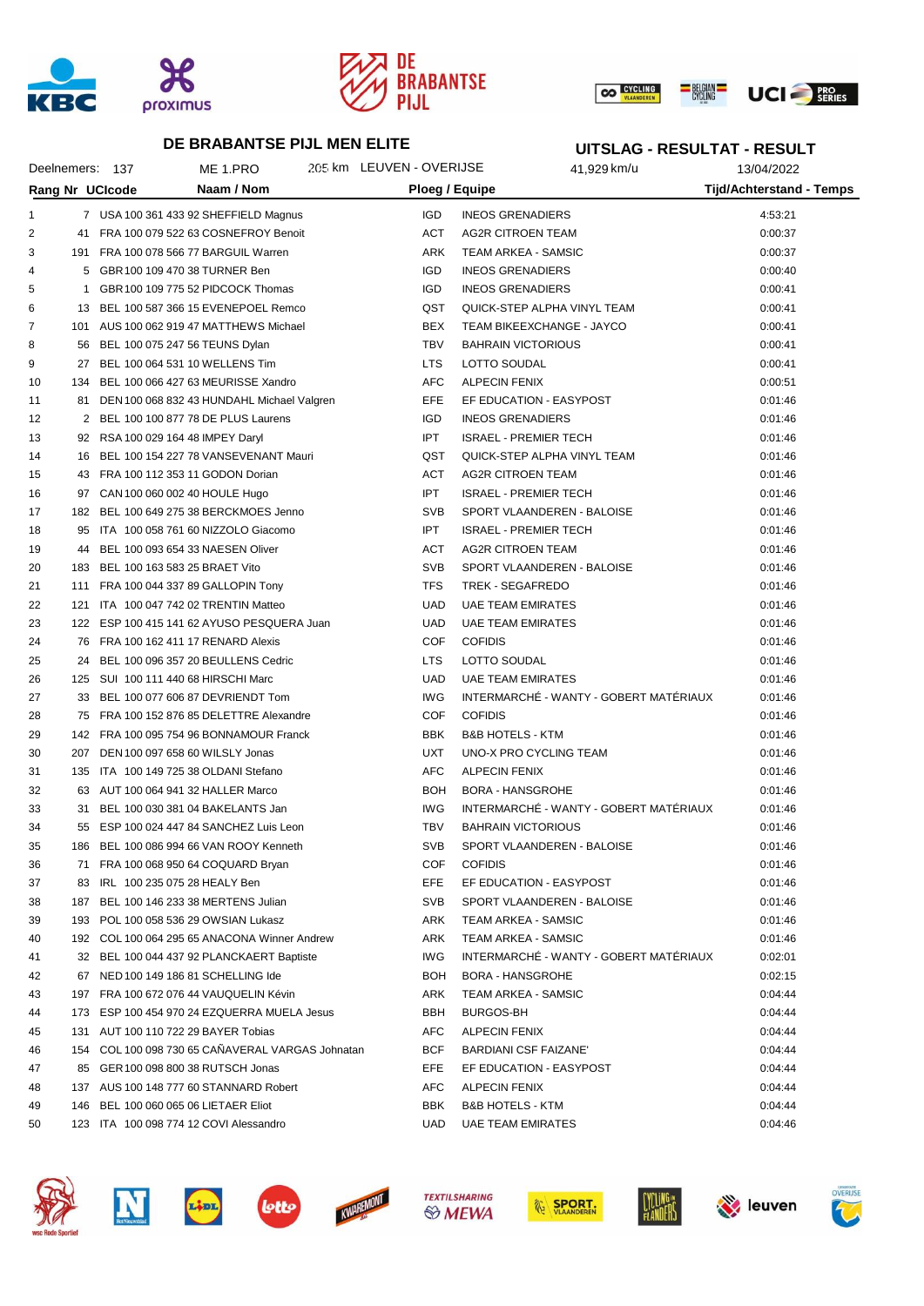





**UITSLAG - RESULTAT - RESULT**

#### **DE BRABANTSE PIJL MEN ELITE**

#### Deelnemers: 137 ME 1.PRO 205 km LEUVEN - OVERIJSE 41,929 km/u 13/04/2022 **Rang Nr UCIcode Naam / Nom Ploeg / Equipe Tijd/Achterstand - Temps** 1 7 USA 100 361 433 92 SHEFFIELD Magnus IGD INEOS GRENADIERS 4:53:21 2 41 FRA 100 079 522 63 COSNEFROY Benoit ACT AG2R CITROEN TEAM **ACT AG2R CITROEN TEAM** 0:00:37 3 191 FRA 100 078 566 77 BARGUIL Warren ARK TEAM ARKEA - SAMSIC 0:00:37 4 5 GBR100 109 470 38 TURNER Ben IGD INEOS GRENADIERS 0:00:40 5 1 GBR100 109 775 52 PIDCOCK Thomas IGD INEOS GRENADIERS 0:00:41 6 13 BEL 100 587 366 15 EVENEPOEL Remco QST QUICK-STEP ALPHA VINYL TEAM 0:00:41 7 101 AUS 100 062 919 47 MATTHEWS Michael BEX TEAM BIKEEXCHANGE - JAYCO 0 0:00:41 8 56 BEL 100 075 247 56 TEUNS Dylan **TBV BAHRAIN VICTORIOUS** 6:00:41 9 27 BEL 100 064 531 10 WELLENS Tim LTS LOTTO SOUDAL 0:00:41 10 134 BEL 100 066 427 63 MEURISSE Xandro AFC ALPECIN FENIX 134 BEL 100 066 427 63 MEURISSE Xandro AFC ALPECIN FENIX 11 81 DEN 100 068 832 43 HUNDAHL Michael Valgren EFE EF EDUCATION - EASYPOST 0:01:46 12 2 BEL 100 100 877 78 DE PLUS Laurens **IGD INEOS GRENADIERS** 0:01:46 13 92 RSA 100 029 164 48 IMPEY Daryl IPT ISRAEL - PREMIER TECH 0:01:46 14 16 BEL 100 154 227 78 VANSEVENANT Mauri QST QUICK-STEP ALPHA VINYL TEAM 0:01:46 15 43 FRA 100 112 353 11 GODON Dorian ACT AG2R CITROEN TEAM 0:01:46 16 97 CAN 100 060 002 40 HOULE Hugo IPT ISRAEL - PREMIER TECH 0:01:46 17 182 BEL 100 649 275 38 BERCKMOES Jenno SVB SVB SPORT VLAANDEREN - BALOISE 0:01:46 18 95 ITA 100 058 761 60 NIZZOLO Giacomo IPT ISRAEL - PREMIER TECH 0:01:46 19 44 BEL 100 093 654 33 NAESEN Oliver ACT AG2R CITROEN TEAM 6:01:46 20 183 BEL 100 163 583 25 BRAET Vito SVB SPORT VLAANDEREN - BALOISE 0:01:46 21 111 FRA 100 044 337 89 GALLOPIN Tony **TES TREK - SEGAFREDO 126** 0:01:46 22 121 ITA 100 047 742 02 TRENTIN Matteo UAD UAE TEAM EMIRATES 0:01:46 23 122 ESP 100 415 141 62 AYUSO PESQUERA Juan UAD UAE TEAM EMIRATES 6 121 146 0:01:46 24 76 FRA 100 162 411 17 RENARD Alexis COF COFIDIS 0:01:46 25 24 BEL 100 096 357 20 BEULLENS Cedric LTS LOTTO SOUDAL 25 25 24 BEL 100 096 357 20 BEULLENS Cedric LTS LOTTO SOUDAL 26 125 SUI 100 111 440 68 HIRSCHI Marc UAD UAE TEAM EMIRATES 0:01:46 27 33 BEL 100 077 606 87 DEVRIENDT Tom INTERMARCHÉ - WANTY - GOBERT MATÉRIAUX 0:01:46 28 75 FRA 100 152 876 85 DELETTRE Alexandre COF COFIDIS 0:01:46 29 142 FRA 100 095 754 96 BONNAMOUR Franck BBK B&B HOTELS - KTM 0:01:46 30 207 DEN 100 097 658 60 WILSLY Jonas UXT UNO-X PRO CYCLING TEAM 0:01:46 31 135 ITA 100 149 725 38 OLDANI Stefano AFC ALPECIN FENIX 0:01:46 32 63 AUT 100 064 941 32 HALLER Marco BOH BORA - HANSGROHE 0:01:46 33 31 BEL 100 030 381 04 BAKELANTS Jan IWG INTERMARCHÉ - WANTY - GOBERT MATÉRIAUX 0:01:46 34 55 ESP 100 024 447 84 SANCHEZ Luis Leon TBV BAHRAIN VICTORIOUS 0:01:46 35 186 BEL 100 086 994 66 VAN ROOY Kenneth SVB SPORT VLAANDEREN - BALOISE 0:01:46 36 71 FRA 100 068 950 64 COQUARD Bryan COF COFIDIS 0:01:46 37 83 IRL 100 235 075 28 HEALY Ben EFE EF EDUCATION - EASYPOST 0:01:46 38 187 BEL 100 146 233 38 MERTENS Julian SVB SPORT VLAANDEREN - BALOISE 0:01:46 39 193 POL 100 058 536 29 OWSIAN Lukasz ARK TEAM ARKEA - SAMSIC 0:01:46 40 192 COL 100 064 295 65 ANACONA Winner Andrew ARK TEAM ARKEA - SAMSIC 0:01:46 41 32 BEL 100 044 437 92 PLANCKAERT Baptiste IWG INTERMARCHÉ - WANTY - GOBERT MATÉRIAUX 0:02:01 42 67 NED 100 149 186 81 SCHELLING Ide BOH BORA - HANSGROHE 67 NED 100 102:15 43 197 FRA 100 672 076 44 VAUQUELIN Kévin ARK TEAM ARKEA - SAMSIC 197 ARK 10:04:44 44 173 ESP 100 454 970 24 EZQUERRA MUELA Jesus BBH BURGOS-BH 0:04:44 45 131 AUT 100 110 722 29 BAYER Tobias AFC ALPECIN FENIX 0:04:44 46 154 COL 100 098 730 65 CAÑAVERAL VARGAS Johnatan BCF BARDIANI CSF FAIZANE' 0:04:44 47 85 GER100 098 800 38 RUTSCH Jonas **EFE EF EDUCATION - EASYPOST** 0:04:44 48 137 AUS 100 148 777 60 STANNARD Robert AFC ALPECIN FENIX 0:04:44 49 146 BEL 100 060 065 06 LIETAER Eliot **BBK B&B HOTELS - KTM** 0:04:44











**TEXTILSHARING** *S* MEWA









leuven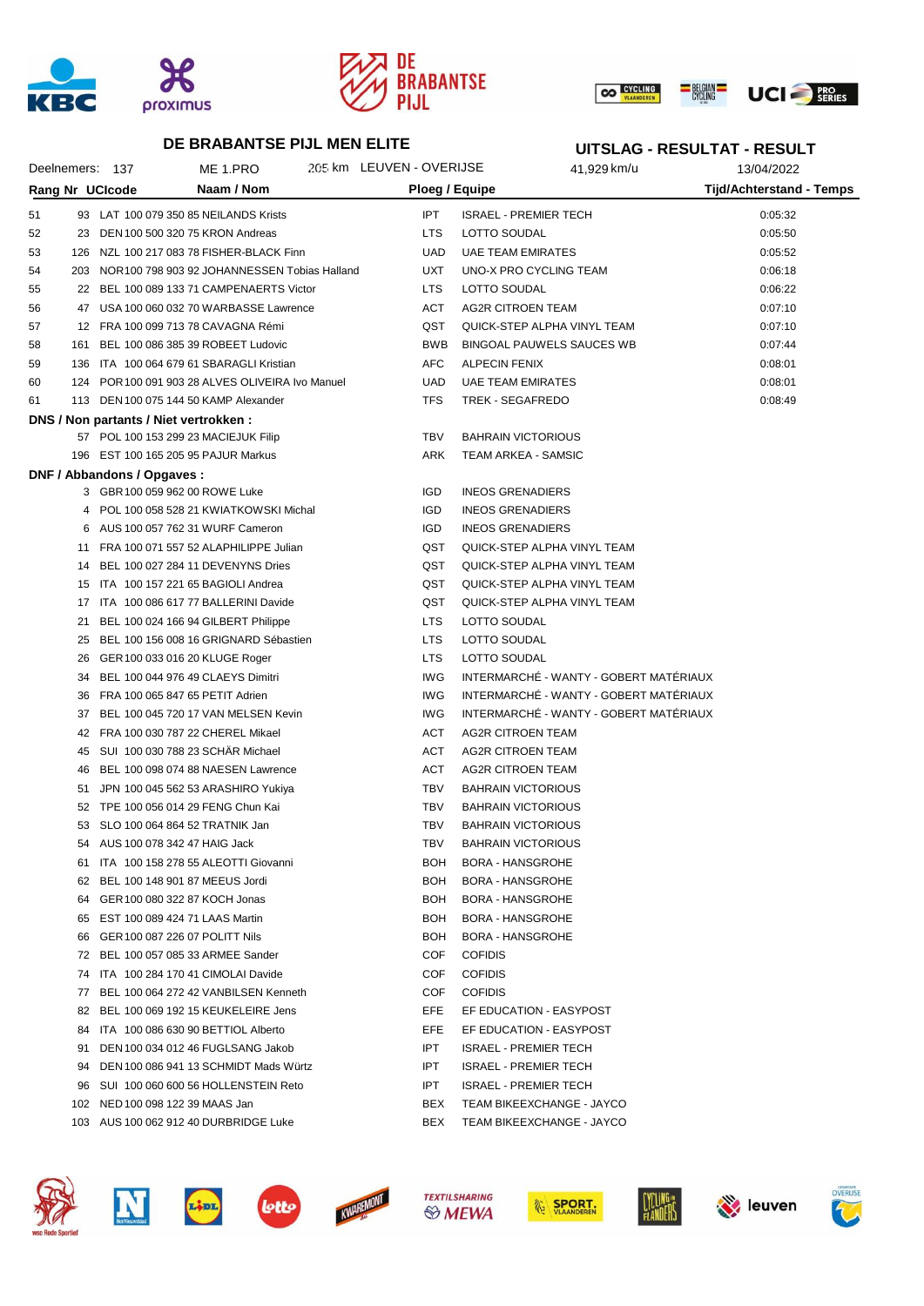





# **DE BRABANTSE PIJL MEN ELITE**

# **UITSLAG - RESULTAT - RESULT**

| Naam / Nom<br>Rang Nr UCIcode<br>Ploeg / Equipe<br>Tijd/Achterstand - Temps<br>IPT.<br><b>ISRAEL - PREMIER TECH</b><br>51<br>93 LAT 100 079 350 85 NEILANDS Krists<br>0:05:32<br>52<br>23 DEN 100 500 320 75 KRON Andreas<br><b>LTS</b><br>LOTTO SOUDAL<br>0:05:50<br>53<br>126 NZL 100 217 083 78 FISHER-BLACK Finn<br>UAD<br><b>UAE TEAM EMIRATES</b><br>0:05:52<br><b>UXT</b><br>UNO-X PRO CYCLING TEAM<br>54<br>203 NOR 100 798 903 92 JOHANNESSEN Tobias Halland<br>0:06:18<br>22 BEL 100 089 133 71 CAMPENAERTS Victor<br>55<br><b>LTS</b><br>LOTTO SOUDAL<br>0:06:22<br>ACT<br>56<br>47 USA 100 060 032 70 WARBASSE Lawrence<br>AG2R CITROEN TEAM<br>0:07:10<br>QST<br>QUICK-STEP ALPHA VINYL TEAM<br>57<br>12 FRA 100 099 713 78 CAVAGNA Rémi<br>0:07:10<br><b>BWB</b><br><b>BINGOAL PAUWELS SAUCES WB</b><br>58<br>161 BEL 100 086 385 39 ROBEET Ludovic<br>0:07:44<br>AFC<br>59<br>136 ITA 100 064 679 61 SBARAGLI Kristian<br><b>ALPECIN FENIX</b><br>0:08:01<br><b>UAD</b><br>60<br>124 POR 100 091 903 28 ALVES OLIVEIRA Ivo Manuel<br><b>UAE TEAM EMIRATES</b><br>0:08:01<br><b>TFS</b><br>TREK - SEGAFREDO<br>0:08:49<br>61<br>113 DEN 100 075 144 50 KAMP Alexander<br>DNS / Non partants / Niet vertrokken :<br><b>TBV</b><br><b>BAHRAIN VICTORIOUS</b><br>57 POL 100 153 299 23 MACIEJUK Filip<br>196 EST 100 165 205 95 PAJUR Markus<br>TEAM ARKEA - SAMSIC<br>ARK<br>DNF / Abbandons / Opgaves :<br>3 GBR 100 059 962 00 ROWE Luke<br><b>IGD</b><br><b>INEOS GRENADIERS</b><br>4 POL 100 058 528 21 KWIATKOWSKI Michal<br><b>IGD</b><br><b>INEOS GRENADIERS</b><br>6 AUS 100 057 762 31 WURF Cameron<br><b>IGD</b><br><b>INEOS GRENADIERS</b><br>QST<br>11 FRA 100 071 557 52 ALAPHILIPPE Julian<br>QUICK-STEP ALPHA VINYL TEAM<br>QST<br>14 BEL 100 027 284 11 DEVENYNS Dries<br>QUICK-STEP ALPHA VINYL TEAM<br>QST<br>QUICK-STEP ALPHA VINYL TEAM<br>15 ITA 100 157 221 65 BAGIOLI Andrea<br>QST<br>QUICK-STEP ALPHA VINYL TEAM<br>17 ITA 100 086 617 77 BALLERINI Davide<br>21 BEL 100 024 166 94 GILBERT Philippe<br><b>LTS</b><br>LOTTO SOUDAL<br><b>LTS</b><br>LOTTO SOUDAL<br>25 BEL 100 156 008 16 GRIGNARD Sébastien<br><b>LTS</b><br>LOTTO SOUDAL<br>26 GER 100 033 016 20 KLUGE Roger<br>INTERMARCHÉ - WANTY - GOBERT MATÉRIAUX<br>IWG<br>34 BEL 100 044 976 49 CLAEYS Dimitri<br>INTERMARCHÉ - WANTY - GOBERT MATÉRIAUX<br>IWG<br>36 FRA 100 065 847 65 PETIT Adrien<br>INTERMARCHÉ - WANTY - GOBERT MATÉRIAUX<br>IWG<br>37 BEL 100 045 720 17 VAN MELSEN Kevin<br>42 FRA 100 030 787 22 CHEREL Mikael<br>ACT<br>AG2R CITROEN TEAM<br>45 SUI 100 030 788 23 SCHAR Michael<br>ACT<br>AG2R CITROEN TEAM<br>46 BEL 100 098 074 88 NAESEN Lawrence<br>ACT<br><b>AG2R CITROEN TEAM</b><br>51 JPN 100 045 562 53 ARASHIRO Yukiya<br>TBV<br><b>BAHRAIN VICTORIOUS</b><br>52 TPE 100 056 014 29 FENG Chun Kai<br>TBV<br><b>BAHRAIN VICTORIOUS</b><br>53 SLO 100 064 864 52 TRATNIK Jan<br><b>TBV</b><br><b>BAHRAIN VICTORIOUS</b><br><b>TBV</b><br>54 AUS 100 078 342 47 HAIG Jack<br><b>BAHRAIN VICTORIOUS</b><br>61 ITA 100 158 278 55 ALEOTTI Giovanni<br>BOH<br><b>BORA - HANSGROHE</b><br>BEL 100 148 901 87 MEEUS Jordi<br>BOH<br><b>BORA - HANSGROHE</b><br>62<br>GER 100 080 322 87 KOCH Jonas<br><b>BOH</b><br><b>BORA - HANSGROHE</b><br>64<br>EST 100 089 424 71 LAAS Martin<br><b>BOH</b><br><b>BORA - HANSGROHE</b><br>65<br>GER 100 087 226 07 POLITT Nils<br><b>BOH</b><br><b>BORA - HANSGROHE</b><br>66<br>BEL 100 057 085 33 ARMEE Sander<br>COF<br><b>COFIDIS</b><br>72<br>ITA 100 284 170 41 CIMOLAI Davide<br>COF<br><b>COFIDIS</b><br>74<br><b>COFIDIS</b><br>BEL 100 064 272 42 VANBILSEN Kenneth<br>COF<br>77<br>BEL 100 069 192 15 KEUKELEIRE Jens<br>EFE<br>EF EDUCATION - EASYPOST<br>82<br>ITA 100 086 630 90 BETTIOL Alberto<br>EFE<br>EF EDUCATION - EASYPOST<br>84<br>IPT<br>DEN 100 034 012 46 FUGLSANG Jakob<br><b>ISRAEL - PREMIER TECH</b><br>91<br>IPT<br>DEN 100 086 941 13 SCHMIDT Mads Würtz<br><b>ISRAEL - PREMIER TECH</b><br>94<br>IPT<br>SUI 100 060 600 56 HOLLENSTEIN Reto<br><b>ISRAEL - PREMIER TECH</b><br>96<br>NED 100 098 122 39 MAAS Jan<br>BEX<br>TEAM BIKEEXCHANGE - JAYCO<br>102<br>103 AUS 100 062 912 40 DURBRIDGE Luke<br>BEX<br>TEAM BIKEEXCHANGE - JAYCO | Deelnemers: 137 | ME 1.PRO | 205 km LEUVEN - OVERIJSE | 41,929 km/u | 13/04/2022 |
|---------------------------------------------------------------------------------------------------------------------------------------------------------------------------------------------------------------------------------------------------------------------------------------------------------------------------------------------------------------------------------------------------------------------------------------------------------------------------------------------------------------------------------------------------------------------------------------------------------------------------------------------------------------------------------------------------------------------------------------------------------------------------------------------------------------------------------------------------------------------------------------------------------------------------------------------------------------------------------------------------------------------------------------------------------------------------------------------------------------------------------------------------------------------------------------------------------------------------------------------------------------------------------------------------------------------------------------------------------------------------------------------------------------------------------------------------------------------------------------------------------------------------------------------------------------------------------------------------------------------------------------------------------------------------------------------------------------------------------------------------------------------------------------------------------------------------------------------------------------------------------------------------------------------------------------------------------------------------------------------------------------------------------------------------------------------------------------------------------------------------------------------------------------------------------------------------------------------------------------------------------------------------------------------------------------------------------------------------------------------------------------------------------------------------------------------------------------------------------------------------------------------------------------------------------------------------------------------------------------------------------------------------------------------------------------------------------------------------------------------------------------------------------------------------------------------------------------------------------------------------------------------------------------------------------------------------------------------------------------------------------------------------------------------------------------------------------------------------------------------------------------------------------------------------------------------------------------------------------------------------------------------------------------------------------------------------------------------------------------------------------------------------------------------------------------------------------------------------------------------------------------------------------------------------------------------------------------------------------------------------------------------------------------------------------------------------------------------------------------------------------------------------------------------------------------------------------------------------------------------------------------------------------------------------------------------------------------------------------------------------------------------------------------------------------------------------------------------------------------------------------------------------------------------------------------------------------------------------------------------|-----------------|----------|--------------------------|-------------|------------|
|                                                                                                                                                                                                                                                                                                                                                                                                                                                                                                                                                                                                                                                                                                                                                                                                                                                                                                                                                                                                                                                                                                                                                                                                                                                                                                                                                                                                                                                                                                                                                                                                                                                                                                                                                                                                                                                                                                                                                                                                                                                                                                                                                                                                                                                                                                                                                                                                                                                                                                                                                                                                                                                                                                                                                                                                                                                                                                                                                                                                                                                                                                                                                                                                                                                                                                                                                                                                                                                                                                                                                                                                                                                                                                                                                                                                                                                                                                                                                                                                                                                                                                                                                                                                                                             |                 |          |                          |             |            |
|                                                                                                                                                                                                                                                                                                                                                                                                                                                                                                                                                                                                                                                                                                                                                                                                                                                                                                                                                                                                                                                                                                                                                                                                                                                                                                                                                                                                                                                                                                                                                                                                                                                                                                                                                                                                                                                                                                                                                                                                                                                                                                                                                                                                                                                                                                                                                                                                                                                                                                                                                                                                                                                                                                                                                                                                                                                                                                                                                                                                                                                                                                                                                                                                                                                                                                                                                                                                                                                                                                                                                                                                                                                                                                                                                                                                                                                                                                                                                                                                                                                                                                                                                                                                                                             |                 |          |                          |             |            |
|                                                                                                                                                                                                                                                                                                                                                                                                                                                                                                                                                                                                                                                                                                                                                                                                                                                                                                                                                                                                                                                                                                                                                                                                                                                                                                                                                                                                                                                                                                                                                                                                                                                                                                                                                                                                                                                                                                                                                                                                                                                                                                                                                                                                                                                                                                                                                                                                                                                                                                                                                                                                                                                                                                                                                                                                                                                                                                                                                                                                                                                                                                                                                                                                                                                                                                                                                                                                                                                                                                                                                                                                                                                                                                                                                                                                                                                                                                                                                                                                                                                                                                                                                                                                                                             |                 |          |                          |             |            |
|                                                                                                                                                                                                                                                                                                                                                                                                                                                                                                                                                                                                                                                                                                                                                                                                                                                                                                                                                                                                                                                                                                                                                                                                                                                                                                                                                                                                                                                                                                                                                                                                                                                                                                                                                                                                                                                                                                                                                                                                                                                                                                                                                                                                                                                                                                                                                                                                                                                                                                                                                                                                                                                                                                                                                                                                                                                                                                                                                                                                                                                                                                                                                                                                                                                                                                                                                                                                                                                                                                                                                                                                                                                                                                                                                                                                                                                                                                                                                                                                                                                                                                                                                                                                                                             |                 |          |                          |             |            |
|                                                                                                                                                                                                                                                                                                                                                                                                                                                                                                                                                                                                                                                                                                                                                                                                                                                                                                                                                                                                                                                                                                                                                                                                                                                                                                                                                                                                                                                                                                                                                                                                                                                                                                                                                                                                                                                                                                                                                                                                                                                                                                                                                                                                                                                                                                                                                                                                                                                                                                                                                                                                                                                                                                                                                                                                                                                                                                                                                                                                                                                                                                                                                                                                                                                                                                                                                                                                                                                                                                                                                                                                                                                                                                                                                                                                                                                                                                                                                                                                                                                                                                                                                                                                                                             |                 |          |                          |             |            |
|                                                                                                                                                                                                                                                                                                                                                                                                                                                                                                                                                                                                                                                                                                                                                                                                                                                                                                                                                                                                                                                                                                                                                                                                                                                                                                                                                                                                                                                                                                                                                                                                                                                                                                                                                                                                                                                                                                                                                                                                                                                                                                                                                                                                                                                                                                                                                                                                                                                                                                                                                                                                                                                                                                                                                                                                                                                                                                                                                                                                                                                                                                                                                                                                                                                                                                                                                                                                                                                                                                                                                                                                                                                                                                                                                                                                                                                                                                                                                                                                                                                                                                                                                                                                                                             |                 |          |                          |             |            |
|                                                                                                                                                                                                                                                                                                                                                                                                                                                                                                                                                                                                                                                                                                                                                                                                                                                                                                                                                                                                                                                                                                                                                                                                                                                                                                                                                                                                                                                                                                                                                                                                                                                                                                                                                                                                                                                                                                                                                                                                                                                                                                                                                                                                                                                                                                                                                                                                                                                                                                                                                                                                                                                                                                                                                                                                                                                                                                                                                                                                                                                                                                                                                                                                                                                                                                                                                                                                                                                                                                                                                                                                                                                                                                                                                                                                                                                                                                                                                                                                                                                                                                                                                                                                                                             |                 |          |                          |             |            |
|                                                                                                                                                                                                                                                                                                                                                                                                                                                                                                                                                                                                                                                                                                                                                                                                                                                                                                                                                                                                                                                                                                                                                                                                                                                                                                                                                                                                                                                                                                                                                                                                                                                                                                                                                                                                                                                                                                                                                                                                                                                                                                                                                                                                                                                                                                                                                                                                                                                                                                                                                                                                                                                                                                                                                                                                                                                                                                                                                                                                                                                                                                                                                                                                                                                                                                                                                                                                                                                                                                                                                                                                                                                                                                                                                                                                                                                                                                                                                                                                                                                                                                                                                                                                                                             |                 |          |                          |             |            |
|                                                                                                                                                                                                                                                                                                                                                                                                                                                                                                                                                                                                                                                                                                                                                                                                                                                                                                                                                                                                                                                                                                                                                                                                                                                                                                                                                                                                                                                                                                                                                                                                                                                                                                                                                                                                                                                                                                                                                                                                                                                                                                                                                                                                                                                                                                                                                                                                                                                                                                                                                                                                                                                                                                                                                                                                                                                                                                                                                                                                                                                                                                                                                                                                                                                                                                                                                                                                                                                                                                                                                                                                                                                                                                                                                                                                                                                                                                                                                                                                                                                                                                                                                                                                                                             |                 |          |                          |             |            |
|                                                                                                                                                                                                                                                                                                                                                                                                                                                                                                                                                                                                                                                                                                                                                                                                                                                                                                                                                                                                                                                                                                                                                                                                                                                                                                                                                                                                                                                                                                                                                                                                                                                                                                                                                                                                                                                                                                                                                                                                                                                                                                                                                                                                                                                                                                                                                                                                                                                                                                                                                                                                                                                                                                                                                                                                                                                                                                                                                                                                                                                                                                                                                                                                                                                                                                                                                                                                                                                                                                                                                                                                                                                                                                                                                                                                                                                                                                                                                                                                                                                                                                                                                                                                                                             |                 |          |                          |             |            |
|                                                                                                                                                                                                                                                                                                                                                                                                                                                                                                                                                                                                                                                                                                                                                                                                                                                                                                                                                                                                                                                                                                                                                                                                                                                                                                                                                                                                                                                                                                                                                                                                                                                                                                                                                                                                                                                                                                                                                                                                                                                                                                                                                                                                                                                                                                                                                                                                                                                                                                                                                                                                                                                                                                                                                                                                                                                                                                                                                                                                                                                                                                                                                                                                                                                                                                                                                                                                                                                                                                                                                                                                                                                                                                                                                                                                                                                                                                                                                                                                                                                                                                                                                                                                                                             |                 |          |                          |             |            |
|                                                                                                                                                                                                                                                                                                                                                                                                                                                                                                                                                                                                                                                                                                                                                                                                                                                                                                                                                                                                                                                                                                                                                                                                                                                                                                                                                                                                                                                                                                                                                                                                                                                                                                                                                                                                                                                                                                                                                                                                                                                                                                                                                                                                                                                                                                                                                                                                                                                                                                                                                                                                                                                                                                                                                                                                                                                                                                                                                                                                                                                                                                                                                                                                                                                                                                                                                                                                                                                                                                                                                                                                                                                                                                                                                                                                                                                                                                                                                                                                                                                                                                                                                                                                                                             |                 |          |                          |             |            |
|                                                                                                                                                                                                                                                                                                                                                                                                                                                                                                                                                                                                                                                                                                                                                                                                                                                                                                                                                                                                                                                                                                                                                                                                                                                                                                                                                                                                                                                                                                                                                                                                                                                                                                                                                                                                                                                                                                                                                                                                                                                                                                                                                                                                                                                                                                                                                                                                                                                                                                                                                                                                                                                                                                                                                                                                                                                                                                                                                                                                                                                                                                                                                                                                                                                                                                                                                                                                                                                                                                                                                                                                                                                                                                                                                                                                                                                                                                                                                                                                                                                                                                                                                                                                                                             |                 |          |                          |             |            |
|                                                                                                                                                                                                                                                                                                                                                                                                                                                                                                                                                                                                                                                                                                                                                                                                                                                                                                                                                                                                                                                                                                                                                                                                                                                                                                                                                                                                                                                                                                                                                                                                                                                                                                                                                                                                                                                                                                                                                                                                                                                                                                                                                                                                                                                                                                                                                                                                                                                                                                                                                                                                                                                                                                                                                                                                                                                                                                                                                                                                                                                                                                                                                                                                                                                                                                                                                                                                                                                                                                                                                                                                                                                                                                                                                                                                                                                                                                                                                                                                                                                                                                                                                                                                                                             |                 |          |                          |             |            |
|                                                                                                                                                                                                                                                                                                                                                                                                                                                                                                                                                                                                                                                                                                                                                                                                                                                                                                                                                                                                                                                                                                                                                                                                                                                                                                                                                                                                                                                                                                                                                                                                                                                                                                                                                                                                                                                                                                                                                                                                                                                                                                                                                                                                                                                                                                                                                                                                                                                                                                                                                                                                                                                                                                                                                                                                                                                                                                                                                                                                                                                                                                                                                                                                                                                                                                                                                                                                                                                                                                                                                                                                                                                                                                                                                                                                                                                                                                                                                                                                                                                                                                                                                                                                                                             |                 |          |                          |             |            |
|                                                                                                                                                                                                                                                                                                                                                                                                                                                                                                                                                                                                                                                                                                                                                                                                                                                                                                                                                                                                                                                                                                                                                                                                                                                                                                                                                                                                                                                                                                                                                                                                                                                                                                                                                                                                                                                                                                                                                                                                                                                                                                                                                                                                                                                                                                                                                                                                                                                                                                                                                                                                                                                                                                                                                                                                                                                                                                                                                                                                                                                                                                                                                                                                                                                                                                                                                                                                                                                                                                                                                                                                                                                                                                                                                                                                                                                                                                                                                                                                                                                                                                                                                                                                                                             |                 |          |                          |             |            |
|                                                                                                                                                                                                                                                                                                                                                                                                                                                                                                                                                                                                                                                                                                                                                                                                                                                                                                                                                                                                                                                                                                                                                                                                                                                                                                                                                                                                                                                                                                                                                                                                                                                                                                                                                                                                                                                                                                                                                                                                                                                                                                                                                                                                                                                                                                                                                                                                                                                                                                                                                                                                                                                                                                                                                                                                                                                                                                                                                                                                                                                                                                                                                                                                                                                                                                                                                                                                                                                                                                                                                                                                                                                                                                                                                                                                                                                                                                                                                                                                                                                                                                                                                                                                                                             |                 |          |                          |             |            |
|                                                                                                                                                                                                                                                                                                                                                                                                                                                                                                                                                                                                                                                                                                                                                                                                                                                                                                                                                                                                                                                                                                                                                                                                                                                                                                                                                                                                                                                                                                                                                                                                                                                                                                                                                                                                                                                                                                                                                                                                                                                                                                                                                                                                                                                                                                                                                                                                                                                                                                                                                                                                                                                                                                                                                                                                                                                                                                                                                                                                                                                                                                                                                                                                                                                                                                                                                                                                                                                                                                                                                                                                                                                                                                                                                                                                                                                                                                                                                                                                                                                                                                                                                                                                                                             |                 |          |                          |             |            |
|                                                                                                                                                                                                                                                                                                                                                                                                                                                                                                                                                                                                                                                                                                                                                                                                                                                                                                                                                                                                                                                                                                                                                                                                                                                                                                                                                                                                                                                                                                                                                                                                                                                                                                                                                                                                                                                                                                                                                                                                                                                                                                                                                                                                                                                                                                                                                                                                                                                                                                                                                                                                                                                                                                                                                                                                                                                                                                                                                                                                                                                                                                                                                                                                                                                                                                                                                                                                                                                                                                                                                                                                                                                                                                                                                                                                                                                                                                                                                                                                                                                                                                                                                                                                                                             |                 |          |                          |             |            |
|                                                                                                                                                                                                                                                                                                                                                                                                                                                                                                                                                                                                                                                                                                                                                                                                                                                                                                                                                                                                                                                                                                                                                                                                                                                                                                                                                                                                                                                                                                                                                                                                                                                                                                                                                                                                                                                                                                                                                                                                                                                                                                                                                                                                                                                                                                                                                                                                                                                                                                                                                                                                                                                                                                                                                                                                                                                                                                                                                                                                                                                                                                                                                                                                                                                                                                                                                                                                                                                                                                                                                                                                                                                                                                                                                                                                                                                                                                                                                                                                                                                                                                                                                                                                                                             |                 |          |                          |             |            |
|                                                                                                                                                                                                                                                                                                                                                                                                                                                                                                                                                                                                                                                                                                                                                                                                                                                                                                                                                                                                                                                                                                                                                                                                                                                                                                                                                                                                                                                                                                                                                                                                                                                                                                                                                                                                                                                                                                                                                                                                                                                                                                                                                                                                                                                                                                                                                                                                                                                                                                                                                                                                                                                                                                                                                                                                                                                                                                                                                                                                                                                                                                                                                                                                                                                                                                                                                                                                                                                                                                                                                                                                                                                                                                                                                                                                                                                                                                                                                                                                                                                                                                                                                                                                                                             |                 |          |                          |             |            |
|                                                                                                                                                                                                                                                                                                                                                                                                                                                                                                                                                                                                                                                                                                                                                                                                                                                                                                                                                                                                                                                                                                                                                                                                                                                                                                                                                                                                                                                                                                                                                                                                                                                                                                                                                                                                                                                                                                                                                                                                                                                                                                                                                                                                                                                                                                                                                                                                                                                                                                                                                                                                                                                                                                                                                                                                                                                                                                                                                                                                                                                                                                                                                                                                                                                                                                                                                                                                                                                                                                                                                                                                                                                                                                                                                                                                                                                                                                                                                                                                                                                                                                                                                                                                                                             |                 |          |                          |             |            |
|                                                                                                                                                                                                                                                                                                                                                                                                                                                                                                                                                                                                                                                                                                                                                                                                                                                                                                                                                                                                                                                                                                                                                                                                                                                                                                                                                                                                                                                                                                                                                                                                                                                                                                                                                                                                                                                                                                                                                                                                                                                                                                                                                                                                                                                                                                                                                                                                                                                                                                                                                                                                                                                                                                                                                                                                                                                                                                                                                                                                                                                                                                                                                                                                                                                                                                                                                                                                                                                                                                                                                                                                                                                                                                                                                                                                                                                                                                                                                                                                                                                                                                                                                                                                                                             |                 |          |                          |             |            |
|                                                                                                                                                                                                                                                                                                                                                                                                                                                                                                                                                                                                                                                                                                                                                                                                                                                                                                                                                                                                                                                                                                                                                                                                                                                                                                                                                                                                                                                                                                                                                                                                                                                                                                                                                                                                                                                                                                                                                                                                                                                                                                                                                                                                                                                                                                                                                                                                                                                                                                                                                                                                                                                                                                                                                                                                                                                                                                                                                                                                                                                                                                                                                                                                                                                                                                                                                                                                                                                                                                                                                                                                                                                                                                                                                                                                                                                                                                                                                                                                                                                                                                                                                                                                                                             |                 |          |                          |             |            |
|                                                                                                                                                                                                                                                                                                                                                                                                                                                                                                                                                                                                                                                                                                                                                                                                                                                                                                                                                                                                                                                                                                                                                                                                                                                                                                                                                                                                                                                                                                                                                                                                                                                                                                                                                                                                                                                                                                                                                                                                                                                                                                                                                                                                                                                                                                                                                                                                                                                                                                                                                                                                                                                                                                                                                                                                                                                                                                                                                                                                                                                                                                                                                                                                                                                                                                                                                                                                                                                                                                                                                                                                                                                                                                                                                                                                                                                                                                                                                                                                                                                                                                                                                                                                                                             |                 |          |                          |             |            |
|                                                                                                                                                                                                                                                                                                                                                                                                                                                                                                                                                                                                                                                                                                                                                                                                                                                                                                                                                                                                                                                                                                                                                                                                                                                                                                                                                                                                                                                                                                                                                                                                                                                                                                                                                                                                                                                                                                                                                                                                                                                                                                                                                                                                                                                                                                                                                                                                                                                                                                                                                                                                                                                                                                                                                                                                                                                                                                                                                                                                                                                                                                                                                                                                                                                                                                                                                                                                                                                                                                                                                                                                                                                                                                                                                                                                                                                                                                                                                                                                                                                                                                                                                                                                                                             |                 |          |                          |             |            |
|                                                                                                                                                                                                                                                                                                                                                                                                                                                                                                                                                                                                                                                                                                                                                                                                                                                                                                                                                                                                                                                                                                                                                                                                                                                                                                                                                                                                                                                                                                                                                                                                                                                                                                                                                                                                                                                                                                                                                                                                                                                                                                                                                                                                                                                                                                                                                                                                                                                                                                                                                                                                                                                                                                                                                                                                                                                                                                                                                                                                                                                                                                                                                                                                                                                                                                                                                                                                                                                                                                                                                                                                                                                                                                                                                                                                                                                                                                                                                                                                                                                                                                                                                                                                                                             |                 |          |                          |             |            |
|                                                                                                                                                                                                                                                                                                                                                                                                                                                                                                                                                                                                                                                                                                                                                                                                                                                                                                                                                                                                                                                                                                                                                                                                                                                                                                                                                                                                                                                                                                                                                                                                                                                                                                                                                                                                                                                                                                                                                                                                                                                                                                                                                                                                                                                                                                                                                                                                                                                                                                                                                                                                                                                                                                                                                                                                                                                                                                                                                                                                                                                                                                                                                                                                                                                                                                                                                                                                                                                                                                                                                                                                                                                                                                                                                                                                                                                                                                                                                                                                                                                                                                                                                                                                                                             |                 |          |                          |             |            |
|                                                                                                                                                                                                                                                                                                                                                                                                                                                                                                                                                                                                                                                                                                                                                                                                                                                                                                                                                                                                                                                                                                                                                                                                                                                                                                                                                                                                                                                                                                                                                                                                                                                                                                                                                                                                                                                                                                                                                                                                                                                                                                                                                                                                                                                                                                                                                                                                                                                                                                                                                                                                                                                                                                                                                                                                                                                                                                                                                                                                                                                                                                                                                                                                                                                                                                                                                                                                                                                                                                                                                                                                                                                                                                                                                                                                                                                                                                                                                                                                                                                                                                                                                                                                                                             |                 |          |                          |             |            |
|                                                                                                                                                                                                                                                                                                                                                                                                                                                                                                                                                                                                                                                                                                                                                                                                                                                                                                                                                                                                                                                                                                                                                                                                                                                                                                                                                                                                                                                                                                                                                                                                                                                                                                                                                                                                                                                                                                                                                                                                                                                                                                                                                                                                                                                                                                                                                                                                                                                                                                                                                                                                                                                                                                                                                                                                                                                                                                                                                                                                                                                                                                                                                                                                                                                                                                                                                                                                                                                                                                                                                                                                                                                                                                                                                                                                                                                                                                                                                                                                                                                                                                                                                                                                                                             |                 |          |                          |             |            |
|                                                                                                                                                                                                                                                                                                                                                                                                                                                                                                                                                                                                                                                                                                                                                                                                                                                                                                                                                                                                                                                                                                                                                                                                                                                                                                                                                                                                                                                                                                                                                                                                                                                                                                                                                                                                                                                                                                                                                                                                                                                                                                                                                                                                                                                                                                                                                                                                                                                                                                                                                                                                                                                                                                                                                                                                                                                                                                                                                                                                                                                                                                                                                                                                                                                                                                                                                                                                                                                                                                                                                                                                                                                                                                                                                                                                                                                                                                                                                                                                                                                                                                                                                                                                                                             |                 |          |                          |             |            |
|                                                                                                                                                                                                                                                                                                                                                                                                                                                                                                                                                                                                                                                                                                                                                                                                                                                                                                                                                                                                                                                                                                                                                                                                                                                                                                                                                                                                                                                                                                                                                                                                                                                                                                                                                                                                                                                                                                                                                                                                                                                                                                                                                                                                                                                                                                                                                                                                                                                                                                                                                                                                                                                                                                                                                                                                                                                                                                                                                                                                                                                                                                                                                                                                                                                                                                                                                                                                                                                                                                                                                                                                                                                                                                                                                                                                                                                                                                                                                                                                                                                                                                                                                                                                                                             |                 |          |                          |             |            |
|                                                                                                                                                                                                                                                                                                                                                                                                                                                                                                                                                                                                                                                                                                                                                                                                                                                                                                                                                                                                                                                                                                                                                                                                                                                                                                                                                                                                                                                                                                                                                                                                                                                                                                                                                                                                                                                                                                                                                                                                                                                                                                                                                                                                                                                                                                                                                                                                                                                                                                                                                                                                                                                                                                                                                                                                                                                                                                                                                                                                                                                                                                                                                                                                                                                                                                                                                                                                                                                                                                                                                                                                                                                                                                                                                                                                                                                                                                                                                                                                                                                                                                                                                                                                                                             |                 |          |                          |             |            |
|                                                                                                                                                                                                                                                                                                                                                                                                                                                                                                                                                                                                                                                                                                                                                                                                                                                                                                                                                                                                                                                                                                                                                                                                                                                                                                                                                                                                                                                                                                                                                                                                                                                                                                                                                                                                                                                                                                                                                                                                                                                                                                                                                                                                                                                                                                                                                                                                                                                                                                                                                                                                                                                                                                                                                                                                                                                                                                                                                                                                                                                                                                                                                                                                                                                                                                                                                                                                                                                                                                                                                                                                                                                                                                                                                                                                                                                                                                                                                                                                                                                                                                                                                                                                                                             |                 |          |                          |             |            |
|                                                                                                                                                                                                                                                                                                                                                                                                                                                                                                                                                                                                                                                                                                                                                                                                                                                                                                                                                                                                                                                                                                                                                                                                                                                                                                                                                                                                                                                                                                                                                                                                                                                                                                                                                                                                                                                                                                                                                                                                                                                                                                                                                                                                                                                                                                                                                                                                                                                                                                                                                                                                                                                                                                                                                                                                                                                                                                                                                                                                                                                                                                                                                                                                                                                                                                                                                                                                                                                                                                                                                                                                                                                                                                                                                                                                                                                                                                                                                                                                                                                                                                                                                                                                                                             |                 |          |                          |             |            |
|                                                                                                                                                                                                                                                                                                                                                                                                                                                                                                                                                                                                                                                                                                                                                                                                                                                                                                                                                                                                                                                                                                                                                                                                                                                                                                                                                                                                                                                                                                                                                                                                                                                                                                                                                                                                                                                                                                                                                                                                                                                                                                                                                                                                                                                                                                                                                                                                                                                                                                                                                                                                                                                                                                                                                                                                                                                                                                                                                                                                                                                                                                                                                                                                                                                                                                                                                                                                                                                                                                                                                                                                                                                                                                                                                                                                                                                                                                                                                                                                                                                                                                                                                                                                                                             |                 |          |                          |             |            |
|                                                                                                                                                                                                                                                                                                                                                                                                                                                                                                                                                                                                                                                                                                                                                                                                                                                                                                                                                                                                                                                                                                                                                                                                                                                                                                                                                                                                                                                                                                                                                                                                                                                                                                                                                                                                                                                                                                                                                                                                                                                                                                                                                                                                                                                                                                                                                                                                                                                                                                                                                                                                                                                                                                                                                                                                                                                                                                                                                                                                                                                                                                                                                                                                                                                                                                                                                                                                                                                                                                                                                                                                                                                                                                                                                                                                                                                                                                                                                                                                                                                                                                                                                                                                                                             |                 |          |                          |             |            |
|                                                                                                                                                                                                                                                                                                                                                                                                                                                                                                                                                                                                                                                                                                                                                                                                                                                                                                                                                                                                                                                                                                                                                                                                                                                                                                                                                                                                                                                                                                                                                                                                                                                                                                                                                                                                                                                                                                                                                                                                                                                                                                                                                                                                                                                                                                                                                                                                                                                                                                                                                                                                                                                                                                                                                                                                                                                                                                                                                                                                                                                                                                                                                                                                                                                                                                                                                                                                                                                                                                                                                                                                                                                                                                                                                                                                                                                                                                                                                                                                                                                                                                                                                                                                                                             |                 |          |                          |             |            |
|                                                                                                                                                                                                                                                                                                                                                                                                                                                                                                                                                                                                                                                                                                                                                                                                                                                                                                                                                                                                                                                                                                                                                                                                                                                                                                                                                                                                                                                                                                                                                                                                                                                                                                                                                                                                                                                                                                                                                                                                                                                                                                                                                                                                                                                                                                                                                                                                                                                                                                                                                                                                                                                                                                                                                                                                                                                                                                                                                                                                                                                                                                                                                                                                                                                                                                                                                                                                                                                                                                                                                                                                                                                                                                                                                                                                                                                                                                                                                                                                                                                                                                                                                                                                                                             |                 |          |                          |             |            |
|                                                                                                                                                                                                                                                                                                                                                                                                                                                                                                                                                                                                                                                                                                                                                                                                                                                                                                                                                                                                                                                                                                                                                                                                                                                                                                                                                                                                                                                                                                                                                                                                                                                                                                                                                                                                                                                                                                                                                                                                                                                                                                                                                                                                                                                                                                                                                                                                                                                                                                                                                                                                                                                                                                                                                                                                                                                                                                                                                                                                                                                                                                                                                                                                                                                                                                                                                                                                                                                                                                                                                                                                                                                                                                                                                                                                                                                                                                                                                                                                                                                                                                                                                                                                                                             |                 |          |                          |             |            |
|                                                                                                                                                                                                                                                                                                                                                                                                                                                                                                                                                                                                                                                                                                                                                                                                                                                                                                                                                                                                                                                                                                                                                                                                                                                                                                                                                                                                                                                                                                                                                                                                                                                                                                                                                                                                                                                                                                                                                                                                                                                                                                                                                                                                                                                                                                                                                                                                                                                                                                                                                                                                                                                                                                                                                                                                                                                                                                                                                                                                                                                                                                                                                                                                                                                                                                                                                                                                                                                                                                                                                                                                                                                                                                                                                                                                                                                                                                                                                                                                                                                                                                                                                                                                                                             |                 |          |                          |             |            |
|                                                                                                                                                                                                                                                                                                                                                                                                                                                                                                                                                                                                                                                                                                                                                                                                                                                                                                                                                                                                                                                                                                                                                                                                                                                                                                                                                                                                                                                                                                                                                                                                                                                                                                                                                                                                                                                                                                                                                                                                                                                                                                                                                                                                                                                                                                                                                                                                                                                                                                                                                                                                                                                                                                                                                                                                                                                                                                                                                                                                                                                                                                                                                                                                                                                                                                                                                                                                                                                                                                                                                                                                                                                                                                                                                                                                                                                                                                                                                                                                                                                                                                                                                                                                                                             |                 |          |                          |             |            |
|                                                                                                                                                                                                                                                                                                                                                                                                                                                                                                                                                                                                                                                                                                                                                                                                                                                                                                                                                                                                                                                                                                                                                                                                                                                                                                                                                                                                                                                                                                                                                                                                                                                                                                                                                                                                                                                                                                                                                                                                                                                                                                                                                                                                                                                                                                                                                                                                                                                                                                                                                                                                                                                                                                                                                                                                                                                                                                                                                                                                                                                                                                                                                                                                                                                                                                                                                                                                                                                                                                                                                                                                                                                                                                                                                                                                                                                                                                                                                                                                                                                                                                                                                                                                                                             |                 |          |                          |             |            |
|                                                                                                                                                                                                                                                                                                                                                                                                                                                                                                                                                                                                                                                                                                                                                                                                                                                                                                                                                                                                                                                                                                                                                                                                                                                                                                                                                                                                                                                                                                                                                                                                                                                                                                                                                                                                                                                                                                                                                                                                                                                                                                                                                                                                                                                                                                                                                                                                                                                                                                                                                                                                                                                                                                                                                                                                                                                                                                                                                                                                                                                                                                                                                                                                                                                                                                                                                                                                                                                                                                                                                                                                                                                                                                                                                                                                                                                                                                                                                                                                                                                                                                                                                                                                                                             |                 |          |                          |             |            |
|                                                                                                                                                                                                                                                                                                                                                                                                                                                                                                                                                                                                                                                                                                                                                                                                                                                                                                                                                                                                                                                                                                                                                                                                                                                                                                                                                                                                                                                                                                                                                                                                                                                                                                                                                                                                                                                                                                                                                                                                                                                                                                                                                                                                                                                                                                                                                                                                                                                                                                                                                                                                                                                                                                                                                                                                                                                                                                                                                                                                                                                                                                                                                                                                                                                                                                                                                                                                                                                                                                                                                                                                                                                                                                                                                                                                                                                                                                                                                                                                                                                                                                                                                                                                                                             |                 |          |                          |             |            |
|                                                                                                                                                                                                                                                                                                                                                                                                                                                                                                                                                                                                                                                                                                                                                                                                                                                                                                                                                                                                                                                                                                                                                                                                                                                                                                                                                                                                                                                                                                                                                                                                                                                                                                                                                                                                                                                                                                                                                                                                                                                                                                                                                                                                                                                                                                                                                                                                                                                                                                                                                                                                                                                                                                                                                                                                                                                                                                                                                                                                                                                                                                                                                                                                                                                                                                                                                                                                                                                                                                                                                                                                                                                                                                                                                                                                                                                                                                                                                                                                                                                                                                                                                                                                                                             |                 |          |                          |             |            |
|                                                                                                                                                                                                                                                                                                                                                                                                                                                                                                                                                                                                                                                                                                                                                                                                                                                                                                                                                                                                                                                                                                                                                                                                                                                                                                                                                                                                                                                                                                                                                                                                                                                                                                                                                                                                                                                                                                                                                                                                                                                                                                                                                                                                                                                                                                                                                                                                                                                                                                                                                                                                                                                                                                                                                                                                                                                                                                                                                                                                                                                                                                                                                                                                                                                                                                                                                                                                                                                                                                                                                                                                                                                                                                                                                                                                                                                                                                                                                                                                                                                                                                                                                                                                                                             |                 |          |                          |             |            |
|                                                                                                                                                                                                                                                                                                                                                                                                                                                                                                                                                                                                                                                                                                                                                                                                                                                                                                                                                                                                                                                                                                                                                                                                                                                                                                                                                                                                                                                                                                                                                                                                                                                                                                                                                                                                                                                                                                                                                                                                                                                                                                                                                                                                                                                                                                                                                                                                                                                                                                                                                                                                                                                                                                                                                                                                                                                                                                                                                                                                                                                                                                                                                                                                                                                                                                                                                                                                                                                                                                                                                                                                                                                                                                                                                                                                                                                                                                                                                                                                                                                                                                                                                                                                                                             |                 |          |                          |             |            |
|                                                                                                                                                                                                                                                                                                                                                                                                                                                                                                                                                                                                                                                                                                                                                                                                                                                                                                                                                                                                                                                                                                                                                                                                                                                                                                                                                                                                                                                                                                                                                                                                                                                                                                                                                                                                                                                                                                                                                                                                                                                                                                                                                                                                                                                                                                                                                                                                                                                                                                                                                                                                                                                                                                                                                                                                                                                                                                                                                                                                                                                                                                                                                                                                                                                                                                                                                                                                                                                                                                                                                                                                                                                                                                                                                                                                                                                                                                                                                                                                                                                                                                                                                                                                                                             |                 |          |                          |             |            |
|                                                                                                                                                                                                                                                                                                                                                                                                                                                                                                                                                                                                                                                                                                                                                                                                                                                                                                                                                                                                                                                                                                                                                                                                                                                                                                                                                                                                                                                                                                                                                                                                                                                                                                                                                                                                                                                                                                                                                                                                                                                                                                                                                                                                                                                                                                                                                                                                                                                                                                                                                                                                                                                                                                                                                                                                                                                                                                                                                                                                                                                                                                                                                                                                                                                                                                                                                                                                                                                                                                                                                                                                                                                                                                                                                                                                                                                                                                                                                                                                                                                                                                                                                                                                                                             |                 |          |                          |             |            |
|                                                                                                                                                                                                                                                                                                                                                                                                                                                                                                                                                                                                                                                                                                                                                                                                                                                                                                                                                                                                                                                                                                                                                                                                                                                                                                                                                                                                                                                                                                                                                                                                                                                                                                                                                                                                                                                                                                                                                                                                                                                                                                                                                                                                                                                                                                                                                                                                                                                                                                                                                                                                                                                                                                                                                                                                                                                                                                                                                                                                                                                                                                                                                                                                                                                                                                                                                                                                                                                                                                                                                                                                                                                                                                                                                                                                                                                                                                                                                                                                                                                                                                                                                                                                                                             |                 |          |                          |             |            |









**TEXTILSHARING** *S* MEWA